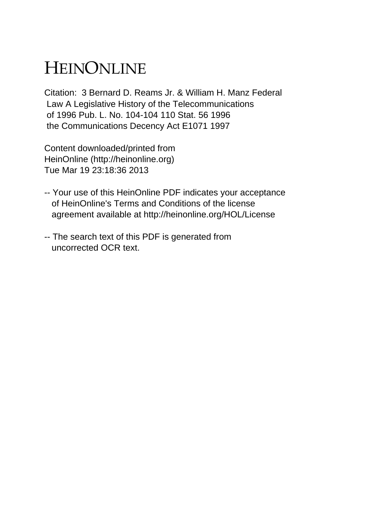# HEINONLINE

Citation: 3 Bernard D. Reams Jr. & William H. Manz Federal Law A Legislative History of the Telecommunications of 1996 Pub. L. No. 104-104 110 Stat. 56 1996 the Communications Decency Act E1071 1997

Content downloaded/printed from HeinOnline (http://heinonline.org) Tue Mar 19 23:18:36 2013

- -- Your use of this HeinOnline PDF indicates your acceptance of HeinOnline's Terms and Conditions of the license agreement available at http://heinonline.org/HOL/License
- -- The search text of this PDF is generated from uncorrected OCR text.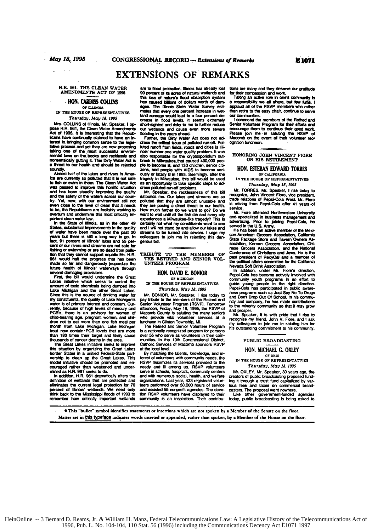### **EXTENSIONS OF REMARKS**

**H.R. 961, THE CLEAN WATER** AMENDMENTS ACT OF 1996

#### **HON. CARDISS COLLINS** OF ELLINOIS

IN THE HOUSE OF REPRESENTATIVES Thursday, May 18, 1995

COLLINS of Illinois, Mr. Speaker, I oppose H.R. 961, the Clean Water Amendments<br>Act of 1995. It is interesting that the Republicans have continually claimed to have an interest in bringing common sense to the legislative process and yet they are now proposing<br>taking one of the most successful environmental laws on the books and recidessly and nonsensically gutting it. This Dirty Water Act is<br>a threat to our health and should be rejected **ROUTICEV** 

Almost half of the lakes and rivers in America are currently so polluted that it is not safe<br>to fish or swim in them. The Clean Water Act was passed to improve this horrific situation<br>and has been steadily improving the quality<br>and the safety of the waters across our country. Yet now with our environment still not n close to the level of clean that it needs to be, the Republicans are foolishly working to sturn and undermine this most critically important clean water law

In the State of Illinois, as in the other 49 States, substantial improvements in the quality<br>of water have been made over the past 20 years but there is still a long way to go. In<br>tact, 91 percent of litinois' lakes and 55 percent of our rivers and streams are not safe for<br>fishing or swimming or are so dead from pollustaway or awarening or are so cessor moniposite.<br>Both that they cannot support squatio life. H.R.<br>961 would halt the progress that has been<br>made so far and dangerously jeopardize the<br>future health of lilinois' waterways th

nume near of limits waterways unought several damaging provisions.<br>First, the bill would undermine the Great<br>Lakes initiative which seeks to control the<br>amount of toxic chemicals being dumped into ake Michigan and the other Great Lakes. Since this is the source of drinking water for<br>my constituents, the quality of Lake Michigan's water is of primary interest and concern. Currently, because of high levels of mercury and PCB's, there is an advisory for women of child-bearing age, pregnant women, and children not to eat more than one fish meal per<br>month from Lake Michigan. Lake Michigan trout now contain PCB levels that are more<br>than 180 times their target and likely cause ousands of cancer deaths in the area.<br>The Great Lakes initiative seeks to improve

this situation by organizing the Great Lakes<br>border States in a unified Federal-State part-<br>nership to clean up the Great Lakes. This model initiative should be promoted and en-<br>couraged rather than weakened and undermined as H.R. 961 seeks to do.<br>In addition, H.R. 961 dramatically alters the

m accomon, rt.rt. so the armordizary aners the definition of wetlands that are protected and<br>eliminates the current legal protection for 70<br>percent of llininois' wetlands. We need only<br>think back to the Mississippi floods

are to flood protection. Illinois has already lost 90 percent of its acres of natural wetlands and sy percent of reduce's flood absorption system<br>this loss of nature's flood absorption system<br>has caused billinois of dollars worth of dam-<br>ages. The Illinois State Water Survey estimates that every one percent increase in wet-<br>land acreage would lead to a four percent decrease in flood levels. It seems extremely short-sighted and risky to me to further reduce ands and cause even more severe flooding in the years ahead.<br>Further, the Dirty Water Act does not ad-

dress the critical issue of polluted run-off. Pol-<br>Iuted runoff from fields, roads and cities is Illinots' number one water quality problem. It was also responsible for the cryptosporidium outbreak in Milwaukea, that caused 400,000 peo-<br>ple to become ill, and 130 children, senior citiprovides and people with AIDS to become serves and people with AIDS to become serves of the the transport in Milly and the magnetic serves as an opportunity to take still would be used. s polluted run-off problems.

Mr. Speaker, the recklessness of this bill<br>astounds me. Our lakes and streams are so polluted that they are almost unusable and<br>they are posing a direct threat to our health. How much further do we want to go? Do we<br>want to wait until all the fish die and every city experiences a Milwaukee-tike tragedy? This is certainly not what my constituents want to see and I will not stand by and allow our lakes and<br>streams to be turned into sewers. I urge my colleagues to join me in rejecting this dan-<br>gerous bill.

TRIBUTE TO THE MEMBERS OF THE RETIRED AND SENIOR VOLUNTEER PROGRAM

#### HON. DAVID E. BONIOR OF MICHIGAN

IN THE HOUSE OF REPRESENTATIVES Thursday, May 18, 1995

Mr. BONIOR. Mr. Speaker, I rise today to<br>pay tribute to the members of the Retired and<br>Senior Volunteer Program (RSVP). Tomorrow<br>afternoon, Friday, May 19, 1995, the RSVP of Macomb County is saluting the many seniors<br>who provide vital volunteer services at a ncheon in Clinton Township, MI.<br>The Retired and Senior Volunteer Program **lunch** 

is a nationally recognized program for persons over 55 who serve as volunteers in their com-<br>munities. In the 10th Congressional District, Catholic Services of Macomb sponsors RSVP at the local level.

By matching the talents, knowledge, and interest of volunteers with community needs, the RSVP maximizes its services provided to the<br>needy and ill among us. RSVP volunteers serve in schools, hospitals, community centers<br>and with numerous social, health, and welfare organizations. Last year, 433 registered volunteers performed over 50,000 hours of service and isted 55 nonprofit agencies. The devoand assisted as non-profit agencies. The servi-<br>tion RSVP volunteers have displayed to their<br>community is an inspiration. Their contributions are many and they deserve our gratifude

solid and many and work.<br>Taking an active role in one's community is<br>a responsibility we all share, but few fulfil.<br>applaud all of the RSVP members who rather than retire to the easy chair, continue to serve our communities.

I commend the members of the Retired and Senior Volunteer Program for their efforts and encourage them to continue their good work.<br>Please join me in saluting the RSVP of Macomb on the event of their volunteer reccanition tuncheon.

HONORING JOHN VINCENT FIORE<br>ON HIS RETIREMENT

#### HON. ESTEBAN EDWARD TORRES OF CALIFORNIA

IN THE HOUSE OF REPRESENTATIVES Thursday, May 18, 1995

Mr. TORRES. Mr. Speaker, I rise today to mi. To change of the community of the community of the community of the community of the community of the change of the change of the state of the state of the state of the state of the state of the state of the state of t

Mr. Fiore attended Northwestern University and specialized in business management and<br>advertising. Prior to joining Pepsi-Cola, he<br>served in the U.S. Army.<br>He has been an active member of the Mexi-

can-American Grocers Association, California<br>State Package Store and Tavem Owners As-California salar ravage source and ravant commercial sociation, Korean Grocers Association, and the National Conference of Christians and Jews. He is the State past president of Restrictions of the political affairs committee for the California Nevada Soft Drink Association.

In addition, under Mr. Fiore's direction,<br>Pepsi-Cola has become actively involved with repair-total issues become extreme in an effort to<br>guide young people in the right direction.<br>Pepsi-Cola has participated in public aware-<br>ness programs such as Just Say No To Drugs and Don't Drop Out Of School. In his comm nity and company, he has made contributions to the minority community so that it may grow and prosper.

Mr. Speaker, it is with pride that I rise to<br>recognize my friend, John V. Fiore, and I ask my colleagues to join me in saluting him for<br>his outstanding commitment to his community.

PUBLIC BROADCASTING

#### HON. MICHAEL G. OXLEY OF OHIO

IN THE HOUSE OF REPRESENTATIVES Thursday, May 18, 1995

Mr. OXLEY. Mr. Speaker, 30 years ago, the creators of public broadcasting proposed funding it through a trust fund capitalized by varhous fees and taxes on commercial broad-<br>casters. The proposal went nowhere.<br>Like other government-funded agencies

Like other government-funded agencies<br>today, public broadcasting is being asked to

. This "bullet" symbol identifies statements or insertions which are not spoken by a Member of the Senate on the floor. Matter set in this typeface indicates words inserted or appended, rather than spoken, by a Member of the House on the floor.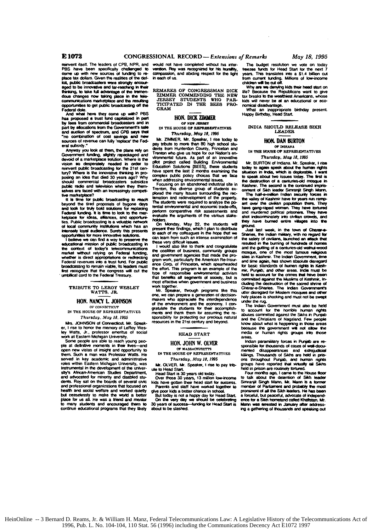reinvent itself. The leaders of CPB, NPR, and PBS have been specifically chaftenged to<br>come up with new sources of funding to reace tax dollars. Given the realities of the de icit, public broadcasters were strongly enough syou to do involveme and tartroadens the tremen-<br>thinking, to take full advantage of the tremen-<br>dous changes now taking place in the feld-<br>communications marketplace and the resulting conortunides to get oublic broadcasting off the

Federal dole.<br>And what have they come up with? PBS<br>has proposed a trust fund capitalized in part<br>by fees from commercial broadcasters and in part by allocations from the Government's sale and auction of spectrum, and CPB says that<br>"no combination of cost savings and new sources of revenue can fully 'replace' the Federal subsidy.

Anyway you look at them, the plans rely on Government funding, slightly repackaged and<br>devoid of a marketplace solution. Where is the vision so desperately needed in order to<br>reinvent public broadcasting for the 21st century? Where is the innovative thinking in pro-<br>posing an idea that died 30 years ago? Why should commercial broadcasters subsidize<br>public radio and television when they themselves are faced with an increasingly competitive marketplace?

It is time for public broadcasting to reach<br>beyond the tired proposals of bygone days<br>and took for truly bold solutions for replacing Federal funding. It is time to look to the mar-<br>hetplace for ideas, alliances, and opportunities. Public broadcasting is a valuable network of local community institutions which has an intensely loyal audience. Surely this presents<br>opportunities for more innovative solutions.<br>I believe we can find a way to preserve the

ducational mission of public broadcasting in educemonies mission or planet as communications<br>the context of today's telecommunications<br>market writiout relying on Federal funding,<br>whether is direct appropriations or redirecting Federal revenues into a bust fund. For public broadcasting to remain viable, its leaders must first recognize that the congress will cut the<br>umbilical cord to the Federal Treasury.

#### TRIBUTE TO LEROY WESLEY WATTS. JR.

#### HON. NANCY L. JOHNSON OF CONNECTICUT

IN THE HOUSE OF REPRESENTATIVES Thursday, May 18, 1995

Mrs. JOHNSON of Connecticut, Mr. Speaker, I rise to honor the memory of LeRoy Wesley Watts, Jr., professor emeritus of social<br>work at Eastern Michigan University.

Some people are able to reach young people<br>ple at definitive moments in their lives-and open new vistas of insight and opportunity to them. Such a man was Professor Watts. He served in key academic and administrative<br>roles within Eastern Michigan University, was istrumental in the development of the u sitv's African-American Studies Department. and advocated for minority and disabled students. Roy sat on the boards of several civic. and professional organizations that focused on health and social welfare and worked quietty but ceaselessly to make the world a better<br>place for us all. He was a friend and mentor to many students and encouraged them to continue educational programs that they likely

would not have completed without his intervention. Roy was recognized for his humility,<br>compassion, and abiding respect for the light in each of us.

REMARKS OF CONGRESSMAN DICK EIMMER COMMENDING THE NEW<br>JERSEY STUDENTS WHO PARTICIPATED IN THE BEES PRO-**GRAM** 

#### HON. DICK ZIMMER OF NEW JERSEY

IN THE HOUSE OF REPRESENTATIVES Thursday, May 18. 1995

Mr. ZIMMER. Mr. Speaker, I rise today to<br>pay tribute to more than 80 high school stuints from Hunterdon County, Princeton and Tranton who give us hope for our Nation's en-<br>vironmental future. As part of an innovative<br>plict project called Building Environmental<br>Education Solutions (BEES), these students have snert the last 2 months examining the complex public policy choices that we face when addressing environmental issues.<br>Focusing on an abandoned industrial site in

Trenton, this diverse group of students ex-<br>plored the many issues surrounding the recbenation and redevelopment of the property The students were required to analyze the poterdial environmental and economic trade-offs,<br>perform comparative risk assessments and watuate the arguments of the various stakeholders

On Monday, May 22, the students will<br>present their findings, which I plan to distribute to each of my colleagues in the hope that we can learn from such an intense examination of these very difficult issues.<br>I would also like to thank and congratulate

the coalition of business, community groups<br>and government agencies that made the program work, particularly the American Re-Insurance Corp. of Princeton, which spearheaded the effort. This program is an example of the<br>type of responsible environmental activism that henefits all seaments of society, but is most effective when government and business

work together.<br>Wir. Speaker, through programs like this one, we can prepare a generation of decision-<br>makers who appreciate the interdependence of the environment and the economy. I can or are environment and we evaluate the students for their accomplishments and thank them for assuming the re-<br>sponsibility for protecting our precious natural resources in the 21st century and beyond.

#### **HEAD START**

#### HON. JOHN W. OLVER OF MASSACHUSETTS

IN THE HOUSE OF REPRESENTATIVES Thursday, May 18, 1995

Mr. OLVER. Mr. Speaker, I rise to pay trib-

ute to Head Start. Head Start is 30 years old today.<br>Over those 30 years, 13 million low-income

have gotten their head start for success. Parents and staff have worked together to

Praises are start started the control supported by the poor kids a better chance in school.<br>But today is not a happy day for Head Start.<br>On the wory day we should be celebrating<br>0 years of success—funding for Head Start is 30 years of successabout to be slashed.

The budget resolution we wate on today eezes funds for Head Start for the next years. This translates into a \$1.4 billion cut years, rise transacies with a studenties of low-income<br>from current funding. Millions of low-income<br>children will be cut off.<br>Why are we denying kids their head start on

life? Because the Republicans want to give<br>tax breaks to the wealthiest Americans, whose kids will never be at an educational or economical disadvantage.

What an inappropriate birthday present.<br>Happy Birthday, Head Start.

**INDIA SHOULD RELEASE SIKH LEADER** 

## **HON. DAN BURTON**

OF DIDIANA

IN THE HOUSE OF REPRESENTATIVES Thursday, May 18, 1995

Mr. BURTON of Indiana. Mr. Soeaker, I rise today to again speak about the human rights<br>situation in India, which is deplorable. I want to speak about two issues today. The first is<br>the destruction of a centuries-old mosque in Kashmir. The second is the continued imprisonment of Silch leader Simmanjit Singh Mann.

The half-e-million Indian security forces in The half-e-million molecules security have a the valley of Kashmir have for years nan ramp-<br>ant over the civilian population there. They have gang-raped women. They have tortured and murdered political prisoners. They have shot indiscriminately into civilian crowds, and hey have burned entire villages into gro und.

Just lest week, in the town of Charas Sharies, the Indian military, with no regard for<br>the safety of civilians, launched an attack that resulted in the burning of hundreds of homes and the guiting of a centuries-old walnut-wood moscuse. one of the most famous edivinus musque, one of the must lambus religious<br>sites in Kashmir. The Indian Government, time and time ansin. has shown absolute disconard for basic standards of human rights in Ka mir. Puniab, and other areas, india must be held to account for the crimes that have been committed against the Muslims of Kashmir, insubstitute the destruction of the sacred stating of Charar-e-Sharies. The Indian Government's<br>utter disregard for Moslem mosques and other holy places is shocking and must not be swept under the rug.

to account for the horrible human rights abuses committed against the Sikhs in Puni o۳ and the Christians of Nagaland. Few people know about what is happening in those areas<br>because the government will not allow the media or human rights groups into those

Indian paramilitary forces in Punjab are re-<br>sponsible for thousands of cases of well-documented disappearances and extrajudicial<br>killings. Thousands of Sikhs are held in prisons throughout Punjab, and human rights held in prison are routinely tortured.

Four months ago, I came to the House floor Sinvanjit Singh Mann. Mr. Mann is a tormer<br>member of Parliament and probably the most prominent of all the Sith leaders. He has been<br>a forceful, but peaceful, advocate of independence for a Silch homeland called Khallsta . M .<br>Mann was arrested in January after address-<br>ing a gathering of thousands and speaking out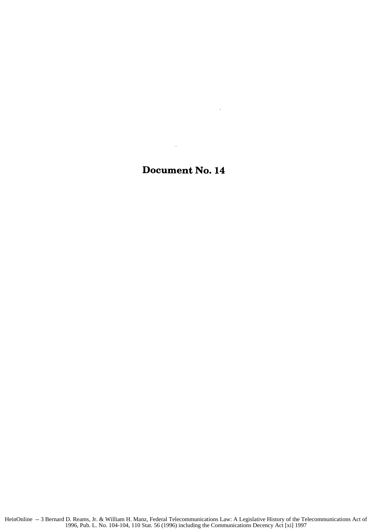## Document No. 14

 $\ddot{\phantom{a}}$ 

 $\bar{z}$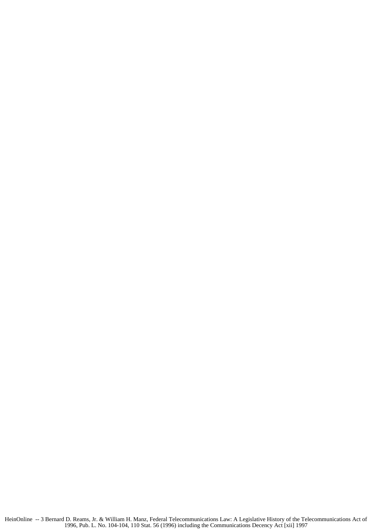HeinOnline -- 3 Bernard D. Reams, Jr. & William H. Manz, Federal Telecommunications Law: A Legislative History of the Telecommunications Act of 1996, Pub. L. No. 104-104, 110 Stat. 56 (1996) including the Communications Decency Act [xii] 1997